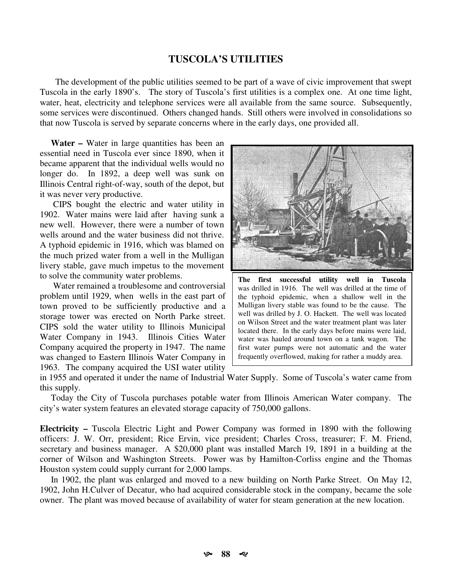## **TUSCOLA'S UTILITIES**

The development of the public utilities seemed to be part of a wave of civic improvement that swept Tuscola in the early 1890's. The story of Tuscola's first utilities is a complex one. At one time light, water, heat, electricity and telephone services were all available from the same source. Subsequently, some services were discontinued. Others changed hands. Still others were involved in consolidations so that now Tuscola is served by separate concerns where in the early days, one provided all.

**Water** – Water in large quantities has been an essential need in Tuscola ever since 1890, when it became apparent that the individual wells would no longer do. In 1892, a deep well was sunk on Illinois Central right-of-way, south of the depot, but it was never very productive.

CIPS bought the electric and water utility in 1902. Water mains were laid after having sunk a new well. However, there were a number of town wells around and the water business did not thrive. A typhoid epidemic in 1916, which was blamed on the much prized water from a well in the Mulligan livery stable, gave much impetus to the movement to solve the community water problems.

Water remained a troublesome and controversial problem until 1929, when wells in the east part of town proved to be sufficiently productive and a storage tower was erected on North Parke street. CIPS sold the water utility to Illinois Municipal Water Company in 1943. Illinois Cities Water Company acquired the property in 1947. The name was changed to Eastern Illinois Water Company in 1963. The company acquired the USI water utility



first successful utility well in Tuscola The was drilled in 1916. The well was drilled at the time of the typhoid epidemic, when a shallow well in the Mulligan livery stable was found to be the cause. The well was drilled by J. O. Hackett. The well was located on Wilson Street and the water treatment plant was later located there. In the early days before mains were laid, water was hauled around town on a tank wagon. The first water pumps were not automatic and the water frequently overflowed, making for rather a muddy area.

in 1955 and operated it under the name of Industrial Water Supply. Some of Tuscola's water came from this supply.

Today the City of Tuscola purchases potable water from Illinois American Water company. The city's water system features an elevated storage capacity of 750,000 gallons.

**Electricity** – Tuscola Electric Light and Power Company was formed in 1890 with the following officers: J. W. Orr, president; Rice Ervin, vice president; Charles Cross, treasurer; F. M. Friend, secretary and business manager. A \$20,000 plant was installed March 19, 1891 in a building at the corner of Wilson and Washington Streets. Power was by Hamilton-Corliss engine and the Thomas Houston system could supply currant for 2,000 lamps.

In 1902, the plant was enlarged and moved to a new building on North Parke Street. On May 12, 1902, John H.Culver of Decatur, who had acquired considerable stock in the company, became the sole owner. The plant was moved because of availability of water for steam generation at the new location.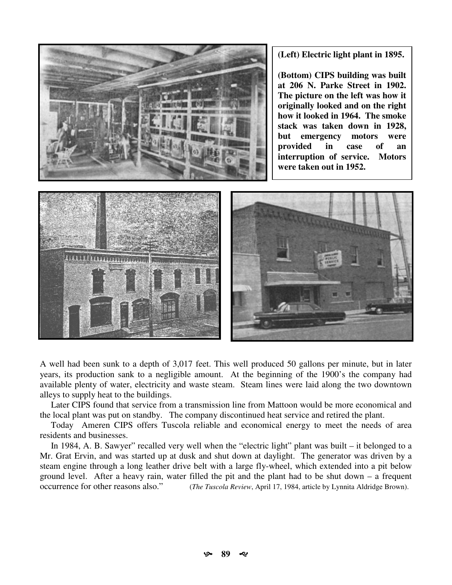

(Left) Electric light plant in 1895.

(Bottom) CIPS building was built at 206 N. Parke Street in 1902. The picture on the left was how it originally looked and on the right how it looked in 1964. The smoke stack was taken down in 1928. but emergency motors were provided in case of an interruption of service. Motors were taken out in 1952.



A well had been sunk to a depth of 3,017 feet. This well produced 50 gallons per minute, but in later years, its production sank to a negligible amount. At the beginning of the 1900's the company had available plenty of water, electricity and waste steam. Steam lines were laid along the two downtown alleys to supply heat to the buildings.

Later CIPS found that service from a transmission line from Mattoon would be more economical and the local plant was put on standby. The company discontinued heat service and retired the plant.

Today Ameren CIPS offers Tuscola reliable and economical energy to meet the needs of area residents and businesses.

In 1984, A. B. Sawyer" recalled very well when the "electric light" plant was built – it belonged to a Mr. Grat Ervin, and was started up at dusk and shut down at daylight. The generator was driven by a steam engine through a long leather drive belt with a large fly-wheel, which extended into a pit below ground level. After a heavy rain, water filled the pit and the plant had to be shut down  $-$  a frequent occurrence for other reasons also." (The Tuscola Review, April 17, 1984, article by Lynnita Aldridge Brown).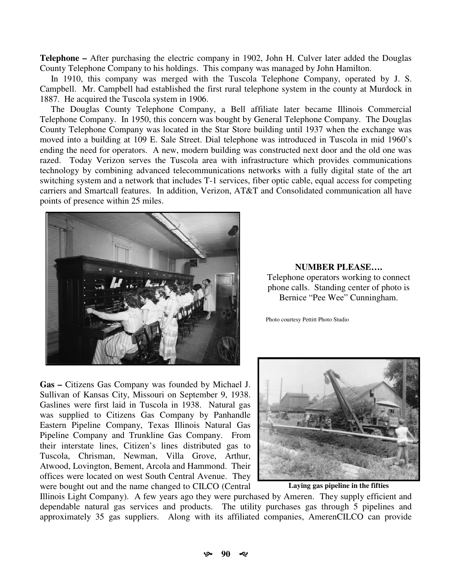Telephone – After purchasing the electric company in 1902, John H. Culver later added the Douglas County Telephone Company to his holdings. This company was managed by John Hamilton.

In 1910, this company was merged with the Tuscola Telephone Company, operated by J. S. Campbell. Mr. Campbell had established the first rural telephone system in the county at Murdock in 1887. He acquired the Tuscola system in 1906.

The Douglas County Telephone Company, a Bell affiliate later became Illinois Commercial Telephone Company. In 1950, this concern was bought by General Telephone Company. The Douglas County Telephone Company was located in the Star Store building until 1937 when the exchange was moved into a building at 109 E. Sale Street. Dial telephone was introduced in Tuscola in mid 1960's ending the need for operators. A new, modern building was constructed next door and the old one was razed. Today Verizon serves the Tuscola area with infrastructure which provides communications technology by combining advanced telecommunications networks with a fully digital state of the art switching system and a network that includes T-1 services, fiber optic cable, equal access for competing carriers and Smartcall features. In addition, Verizon, AT&T and Consolidated communication all have points of presence within 25 miles.



Gas - Citizens Gas Company was founded by Michael J. Sullivan of Kansas City, Missouri on September 9, 1938. Gaslines were first laid in Tuscola in 1938. Natural gas was supplied to Citizens Gas Company by Panhandle Eastern Pipeline Company, Texas Illinois Natural Gas Pipeline Company and Trunkline Gas Company. From their interstate lines, Citizen's lines distributed gas to Tuscola, Chrisman, Newman, Villa Grove, Arthur, Atwood, Lovington, Bement, Arcola and Hammond. Their offices were located on west South Central Avenue. They were bought out and the name changed to CILCO (Central

**NUMBER PLEASE....** Telephone operators working to connect phone calls. Standing center of photo is Bernice "Pee Wee" Cunningham.

Photo courtesy Pettitt Photo Studio



Laving gas pipeline in the fifties

Illinois Light Company). A few years ago they were purchased by Ameren. They supply efficient and dependable natural gas services and products. The utility purchases gas through 5 pipelines and approximately 35 gas suppliers. Along with its affiliated companies, AmerenCILCO can provide